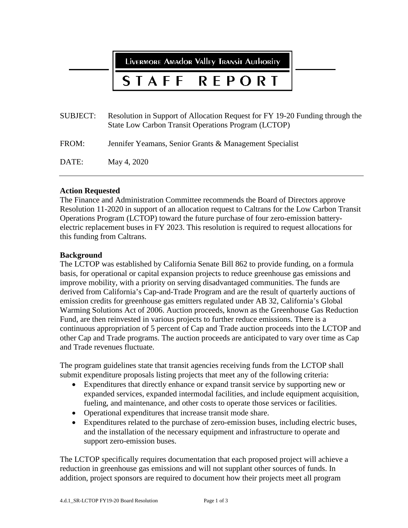LIVERMORE AMAdOR VAlley TRANSIT AUTHORITY

#### STAFF REPORT

| <b>SUBJECT:</b> | Resolution in Support of Allocation Request for FY 19-20 Funding through the<br>State Low Carbon Transit Operations Program (LCTOP) |
|-----------------|-------------------------------------------------------------------------------------------------------------------------------------|
| FROM:           | Jennifer Yeamans, Senior Grants & Management Specialist                                                                             |
| DATE:           | May 4, 2020                                                                                                                         |

#### **Action Requested**

The Finance and Administration Committee recommends the Board of Directors approve Resolution 11-2020 in support of an allocation request to Caltrans for the Low Carbon Transit Operations Program (LCTOP) toward the future purchase of four zero-emission batteryelectric replacement buses in FY 2023. This resolution is required to request allocations for this funding from Caltrans.

#### **Background**

The LCTOP was established by California Senate Bill 862 to provide funding, on a formula basis, for operational or capital expansion projects to reduce greenhouse gas emissions and improve mobility, with a priority on serving disadvantaged communities. The funds are derived from California's Cap-and-Trade Program and are the result of quarterly auctions of emission credits for greenhouse gas emitters regulated under AB 32, California's Global Warming Solutions Act of 2006. Auction proceeds, known as the Greenhouse Gas Reduction Fund, are then reinvested in various projects to further reduce emissions. There is a continuous appropriation of 5 percent of Cap and Trade auction proceeds into the LCTOP and other Cap and Trade programs. The auction proceeds are anticipated to vary over time as Cap and Trade revenues fluctuate.

The program guidelines state that transit agencies receiving funds from the LCTOP shall submit expenditure proposals listing projects that meet any of the following criteria:

- Expenditures that directly enhance or expand transit service by supporting new or expanded services, expanded intermodal facilities, and include equipment acquisition, fueling, and maintenance, and other costs to operate those services or facilities.
- Operational expenditures that increase transit mode share.
- Expenditures related to the purchase of zero-emission buses, including electric buses, and the installation of the necessary equipment and infrastructure to operate and support zero-emission buses.

The LCTOP specifically requires documentation that each proposed project will achieve a reduction in greenhouse gas emissions and will not supplant other sources of funds. In addition, project sponsors are required to document how their projects meet all program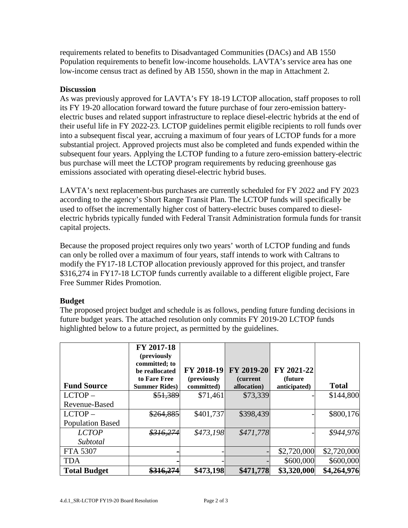requirements related to benefits to Disadvantaged Communities (DACs) and AB 1550 Population requirements to benefit low-income households. LAVTA's service area has one low-income census tract as defined by AB 1550, shown in the map in Attachment 2.

#### **Discussion**

As was previously approved for LAVTA's FY 18-19 LCTOP allocation, staff proposes to roll its FY 19-20 allocation forward toward the future purchase of four zero-emission batteryelectric buses and related support infrastructure to replace diesel-electric hybrids at the end of their useful life in FY 2022-23. LCTOP guidelines permit eligible recipients to roll funds over into a subsequent fiscal year, accruing a maximum of four years of LCTOP funds for a more substantial project. Approved projects must also be completed and funds expended within the subsequent four years. Applying the LCTOP funding to a future zero-emission battery-electric bus purchase will meet the LCTOP program requirements by reducing greenhouse gas emissions associated with operating diesel-electric hybrid buses.

LAVTA's next replacement-bus purchases are currently scheduled for FY 2022 and FY 2023 according to the agency's Short Range Transit Plan. The LCTOP funds will specifically be used to offset the incrementally higher cost of battery-electric buses compared to dieselelectric hybrids typically funded with Federal Transit Administration formula funds for transit capital projects.

Because the proposed project requires only two years' worth of LCTOP funding and funds can only be rolled over a maximum of four years, staff intends to work with Caltrans to modify the FY17-18 LCTOP allocation previously approved for this project, and transfer \$316,274 in FY17-18 LCTOP funds currently available to a different eligible project, Fare Free Summer Rides Promotion.

## **Budget**

The proposed project budget and schedule is as follows, pending future funding decisions in future budget years. The attached resolution only commits FY 2019-20 LCTOP funds highlighted below to a future project, as permitted by the guidelines.

| <b>Fund Source</b>      | FY 2017-18<br>(previously<br>committed; to<br>be reallocated<br>to Fare Free<br><b>Summer Rides</b> ) | FY 2018-19<br>(previously<br>committed) | FY 2019-20<br><i>(current)</i><br>allocation) | FY 2021-22<br>(future)<br>anticipated) | <b>Total</b> |
|-------------------------|-------------------------------------------------------------------------------------------------------|-----------------------------------------|-----------------------------------------------|----------------------------------------|--------------|
| $LCTOP -$               | \$51,389                                                                                              | \$71,461                                | \$73,339                                      |                                        | \$144,800    |
| Revenue-Based           |                                                                                                       |                                         |                                               |                                        |              |
| $LCTOP -$               | \$264,885                                                                                             | \$401,737                               | \$398,439                                     |                                        | \$800,176    |
| <b>Population Based</b> |                                                                                                       |                                         |                                               |                                        |              |
| <b>LCTOP</b>            | \$316,274                                                                                             | \$473,198                               | \$471,778                                     |                                        | \$944,976    |
| Subtotal                |                                                                                                       |                                         |                                               |                                        |              |
| <b>FTA 5307</b>         |                                                                                                       |                                         |                                               | \$2,720,000                            | \$2,720,000  |
| <b>TDA</b>              |                                                                                                       |                                         |                                               | \$600,000                              | \$600,000    |
| <b>Total Budget</b>     | <del>\$316,274</del>                                                                                  | \$473,198                               | \$471,778                                     | \$3,320,000                            | \$4,264,976  |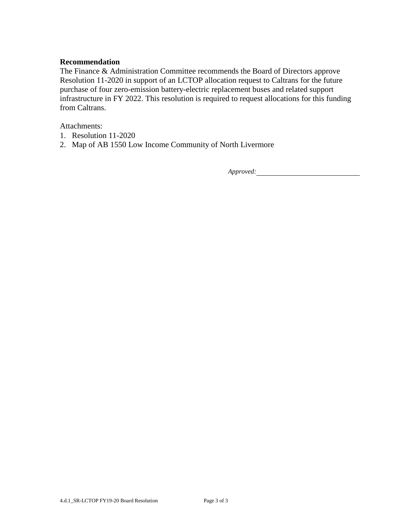#### **Recommendation**

The Finance & Administration Committee recommends the Board of Directors approve Resolution 11-2020 in support of an LCTOP allocation request to Caltrans for the future purchase of four zero-emission battery-electric replacement buses and related support infrastructure in FY 2022. This resolution is required to request allocations for this funding from Caltrans.

Attachments:

- 1. Resolution 11-2020
- 2. Map of AB 1550 Low Income Community of North Livermore

*Approved:*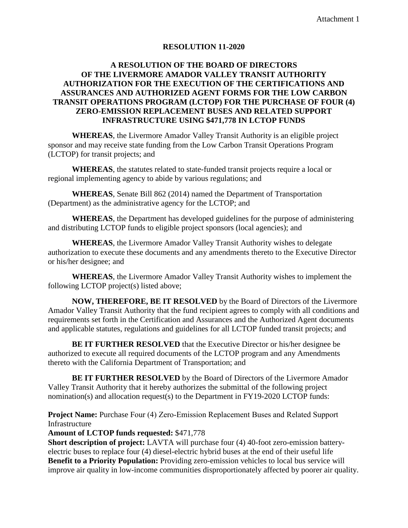#### **RESOLUTION 11-2020**

### **A RESOLUTION OF THE BOARD OF DIRECTORS OF THE LIVERMORE AMADOR VALLEY TRANSIT AUTHORITY AUTHORIZATION FOR THE EXECUTION OF THE CERTIFICATIONS AND ASSURANCES AND AUTHORIZED AGENT FORMS FOR THE LOW CARBON TRANSIT OPERATIONS PROGRAM (LCTOP) FOR THE PURCHASE OF FOUR (4) ZERO-EMISSION REPLACEMENT BUSES AND RELATED SUPPORT INFRASTRUCTURE USING \$471,778 IN LCTOP FUNDS**

**WHEREAS**, the Livermore Amador Valley Transit Authority is an eligible project sponsor and may receive state funding from the Low Carbon Transit Operations Program (LCTOP) for transit projects; and

**WHEREAS**, the statutes related to state-funded transit projects require a local or regional implementing agency to abide by various regulations; and

**WHEREAS**, Senate Bill 862 (2014) named the Department of Transportation (Department) as the administrative agency for the LCTOP; and

**WHEREAS**, the Department has developed guidelines for the purpose of administering and distributing LCTOP funds to eligible project sponsors (local agencies); and

**WHEREAS**, the Livermore Amador Valley Transit Authority wishes to delegate authorization to execute these documents and any amendments thereto to the Executive Director or his/her designee; and

**WHEREAS**, the Livermore Amador Valley Transit Authority wishes to implement the following LCTOP project(s) listed above;

**NOW, THEREFORE, BE IT RESOLVED** by the Board of Directors of the Livermore Amador Valley Transit Authority that the fund recipient agrees to comply with all conditions and requirements set forth in the Certification and Assurances and the Authorized Agent documents and applicable statutes, regulations and guidelines for all LCTOP funded transit projects; and

**BE IT FURTHER RESOLVED** that the Executive Director or his/her designee be authorized to execute all required documents of the LCTOP program and any Amendments thereto with the California Department of Transportation; and

**BE IT FURTHER RESOLVED** by the Board of Directors of the Livermore Amador Valley Transit Authority that it hereby authorizes the submittal of the following project nomination(s) and allocation request(s) to the Department in FY19-2020 LCTOP funds:

**Project Name:** Purchase Four (4) Zero-Emission Replacement Buses and Related Support Infrastructure

#### **Amount of LCTOP funds requested:** \$471,778

**Short description of project:** LAVTA will purchase four (4) 40-foot zero-emission batteryelectric buses to replace four (4) diesel-electric hybrid buses at the end of their useful life **Benefit to a Priority Population:** Providing zero-emission vehicles to local bus service will improve air quality in low-income communities disproportionately affected by poorer air quality.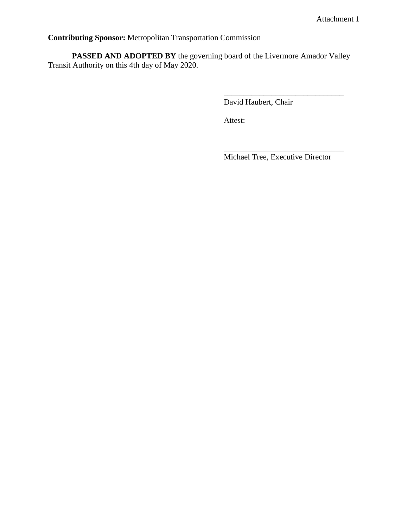**Contributing Sponsor:** Metropolitan Transportation Commission

PASSED AND ADOPTED BY the governing board of the Livermore Amador Valley Transit Authority on this 4th day of May 2020.

David Haubert, Chair

Attest:

Michael Tree, Executive Director

\_\_\_\_\_\_\_\_\_\_\_\_\_\_\_\_\_\_\_\_\_\_\_\_\_\_\_\_\_\_

\_\_\_\_\_\_\_\_\_\_\_\_\_\_\_\_\_\_\_\_\_\_\_\_\_\_\_\_\_\_